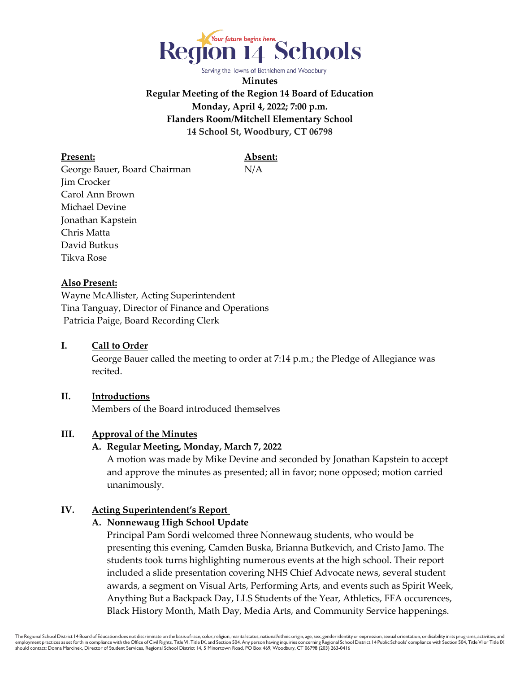

Serving the Towns of Bethlehem and Woodbury

**Minutes Regular Meeting of the Region 14 Board of Education Monday, April 4, 2022; 7:00 p.m. Flanders Room/Mitchell Elementary School 14 School St, Woodbury, CT 06798**

**Present: Absent:**

George Bauer, Board Chairman N/A Jim Crocker Carol Ann Brown Michael Devine Jonathan Kapstein Chris Matta David Butkus Tikva Rose

#### **Also Present:**

Wayne McAllister, Acting Superintendent Tina Tanguay, Director of Finance and Operations Patricia Paige, Board Recording Clerk

### **I. Call to Order**

George Bauer called the meeting to order at 7:14 p.m.; the Pledge of Allegiance was recited.

### **II. Introductions**

Members of the Board introduced themselves

#### **III. Approval of the Minutes**

#### **A. Regular Meeting, Monday, March 7, 2022**

A motion was made by Mike Devine and seconded by Jonathan Kapstein to accept and approve the minutes as presented; all in favor; none opposed; motion carried unanimously.

### **IV. Acting Superintendent's Report**

#### **A. Nonnewaug High School Update**

Principal Pam Sordi welcomed three Nonnewaug students, who would be presenting this evening, Camden Buska, Brianna Butkevich, and Cristo Jamo. The students took turns highlighting numerous events at the high school. Their report included a slide presentation covering NHS Chief Advocate news, several student awards, a segment on Visual Arts, Performing Arts, and events such as Spirit Week, Anything But a Backpack Day, LLS Students of the Year, Athletics, FFA occurences, Black History Month, Math Day, Media Arts, and Community Service happenings.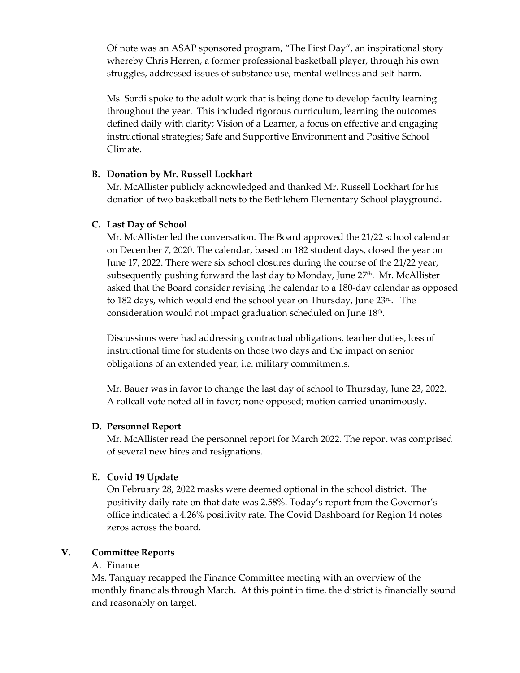Of note was an ASAP sponsored program, "The First Day", an inspirational story whereby Chris Herren, a former professional basketball player, through his own struggles, addressed issues of substance use, mental wellness and self-harm.

Ms. Sordi spoke to the adult work that is being done to develop faculty learning throughout the year. This included rigorous curriculum, learning the outcomes defined daily with clarity; Vision of a Learner, a focus on effective and engaging instructional strategies; Safe and Supportive Environment and Positive School Climate.

#### **B. Donation by Mr. Russell Lockhart**

Mr. McAllister publicly acknowledged and thanked Mr. Russell Lockhart for his donation of two basketball nets to the Bethlehem Elementary School playground.

### **C. Last Day of School**

Mr. McAllister led the conversation. The Board approved the 21/22 school calendar on December 7, 2020. The calendar, based on 182 student days, closed the year on June 17, 2022. There were six school closures during the course of the 21/22 year, subsequently pushing forward the last day to Monday, June 27<sup>th</sup>. Mr. McAllister asked that the Board consider revising the calendar to a 180-day calendar as opposed to 182 days, which would end the school year on Thursday, June 23rd. The consideration would not impact graduation scheduled on June 18th.

Discussions were had addressing contractual obligations, teacher duties, loss of instructional time for students on those two days and the impact on senior obligations of an extended year, i.e. military commitments.

Mr. Bauer was in favor to change the last day of school to Thursday, June 23, 2022. A rollcall vote noted all in favor; none opposed; motion carried unanimously.

### **D. Personnel Report**

Mr. McAllister read the personnel report for March 2022. The report was comprised of several new hires and resignations.

### **E. Covid 19 Update**

On February 28, 2022 masks were deemed optional in the school district. The positivity daily rate on that date was 2.58%. Today's report from the Governor's office indicated a 4.26% positivity rate. The Covid Dashboard for Region 14 notes zeros across the board.

### **V. Committee Reports**

### A. Finance

Ms. Tanguay recapped the Finance Committee meeting with an overview of the monthly financials through March. At this point in time, the district is financially sound and reasonably on target.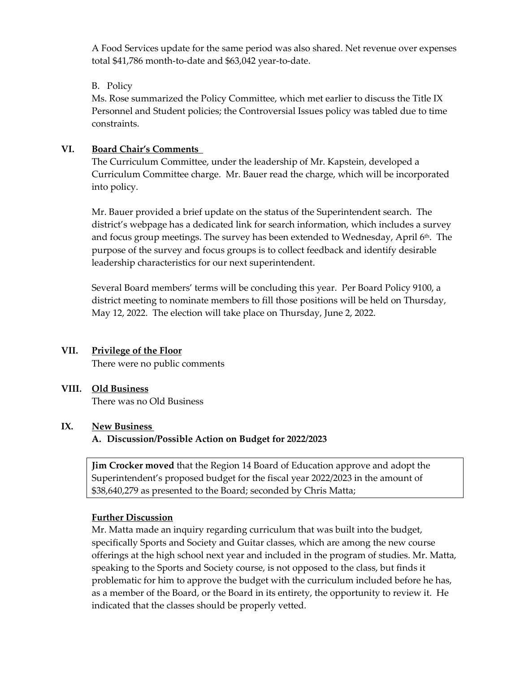A Food Services update for the same period was also shared. Net revenue over expenses total \$41,786 month-to-date and \$63,042 year-to-date.

### B. Policy

Ms. Rose summarized the Policy Committee, which met earlier to discuss the Title IX Personnel and Student policies; the Controversial Issues policy was tabled due to time constraints.

## **VI. Board Chair's Comments**

The Curriculum Committee, under the leadership of Mr. Kapstein, developed a Curriculum Committee charge. Mr. Bauer read the charge, which will be incorporated into policy.

Mr. Bauer provided a brief update on the status of the Superintendent search. The district's webpage has a dedicated link for search information, which includes a survey and focus group meetings. The survey has been extended to Wednesday, April 6<sup>th</sup>. The purpose of the survey and focus groups is to collect feedback and identify desirable leadership characteristics for our next superintendent.

Several Board members' terms will be concluding this year. Per Board Policy 9100, a district meeting to nominate members to fill those positions will be held on Thursday, May 12, 2022. The election will take place on Thursday, June 2, 2022.

# **VII. Privilege of the Floor**

There were no public comments

# **VIII. Old Business**

There was no Old Business

### **IX. New Business**

**A. Discussion/Possible Action on Budget for 2022/2023**

**Jim Crocker moved** that the Region 14 Board of Education approve and adopt the Superintendent's proposed budget for the fiscal year 2022/2023 in the amount of \$38,640,279 as presented to the Board; seconded by Chris Matta;

### **Further Discussion**

Mr. Matta made an inquiry regarding curriculum that was built into the budget, specifically Sports and Society and Guitar classes, which are among the new course offerings at the high school next year and included in the program of studies. Mr. Matta, speaking to the Sports and Society course, is not opposed to the class, but finds it problematic for him to approve the budget with the curriculum included before he has, as a member of the Board, or the Board in its entirety, the opportunity to review it. He indicated that the classes should be properly vetted.